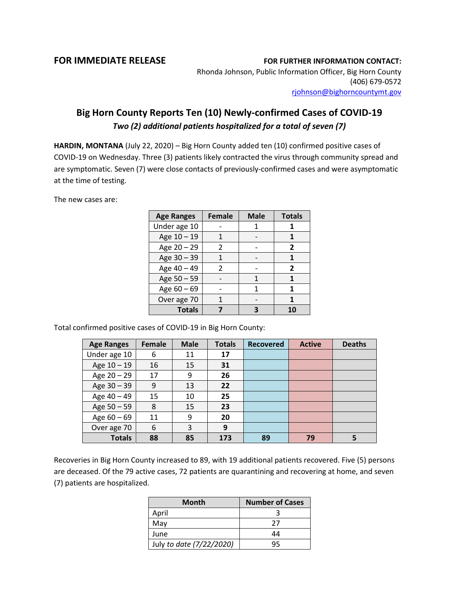**FOR IMMEDIATE RELEASE FOR FURTHER INFORMATION CONTACT:**

Rhonda Johnson, Public Information Officer, Big Horn County (406) 679-0572 [rjohnson@bighorncountymt.gov](mailto:rjohnson@bighorncountymt.gov)

## **Big Horn County Reports Ten (10) Newly-confirmed Cases of COVID-19**  *Two (2) additional patients hospitalized for a total of seven (7)*

**HARDIN, MONTANA** (July 22, 2020) – Big Horn County added ten (10) confirmed positive cases of COVID-19 on Wednesday. Three (3) patients likely contracted the virus through community spread and are symptomatic. Seven (7) were close contacts of previously-confirmed cases and were asymptomatic at the time of testing.

The new cases are:

| <b>Age Ranges</b> | <b>Female</b>  | <b>Male</b> | <b>Totals</b> |
|-------------------|----------------|-------------|---------------|
| Under age 10      |                |             |               |
| Age 10 - 19       |                |             |               |
| Age 20 - 29       | 2              |             | 2             |
| Age 30 - 39       |                |             |               |
| Age 40 - 49       | $\mathfrak{p}$ |             | 2             |
| Age 50 - 59       |                |             |               |
| Age $60 - 69$     |                |             | 1             |
| Over age 70       |                |             |               |
| <b>Totals</b>     |                |             |               |

Total confirmed positive cases of COVID-19 in Big Horn County:

| <b>Age Ranges</b> | Female | <b>Male</b> | <b>Totals</b> | <b>Recovered</b> | <b>Active</b> | <b>Deaths</b> |
|-------------------|--------|-------------|---------------|------------------|---------------|---------------|
| Under age 10      | 6      | 11          | 17            |                  |               |               |
| Age 10 - 19       | 16     | 15          | 31            |                  |               |               |
| Age 20 - 29       | 17     | 9           | 26            |                  |               |               |
| Age 30 - 39       | 9      | 13          | 22            |                  |               |               |
| Age 40 - 49       | 15     | 10          | 25            |                  |               |               |
| Age 50 - 59       | 8      | 15          | 23            |                  |               |               |
| Age $60 - 69$     | 11     | 9           | 20            |                  |               |               |
| Over age 70       | 6      | 3           | 9             |                  |               |               |
| <b>Totals</b>     | 88     | 85          | 173           | 89               | 79            |               |

Recoveries in Big Horn County increased to 89, with 19 additional patients recovered. Five (5) persons are deceased. Of the 79 active cases, 72 patients are quarantining and recovering at home, and seven (7) patients are hospitalized.

| <b>Month</b>             | <b>Number of Cases</b> |  |  |
|--------------------------|------------------------|--|--|
| April                    |                        |  |  |
| May                      | 77                     |  |  |
| June                     | 44                     |  |  |
| July to date (7/22/2020) | 45                     |  |  |